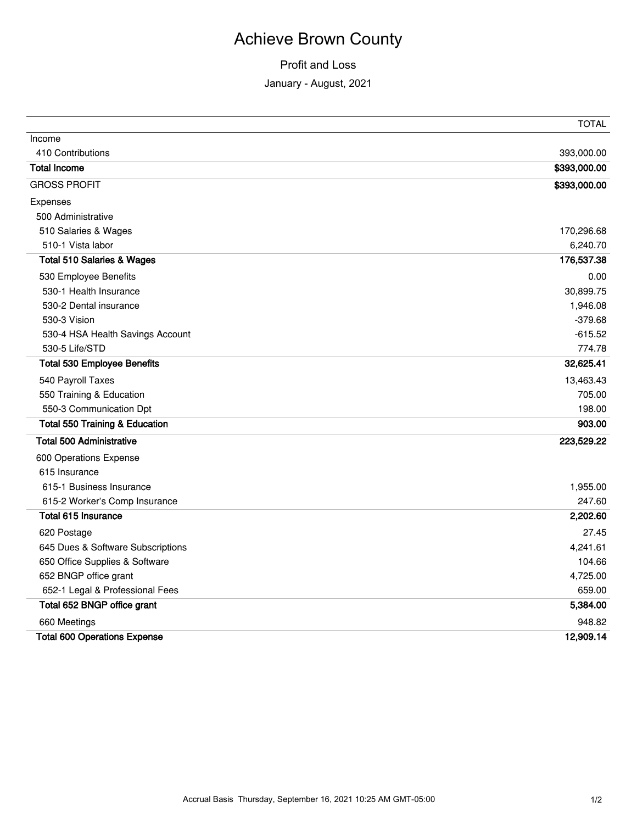# Achieve Brown County

### Profit and Loss

### January - August, 2021

|                                           | <b>TOTAL</b> |
|-------------------------------------------|--------------|
| Income                                    |              |
| 410 Contributions                         | 393,000.00   |
| <b>Total Income</b>                       | \$393,000.00 |
| <b>GROSS PROFIT</b>                       | \$393,000.00 |
| Expenses                                  |              |
| 500 Administrative                        |              |
| 510 Salaries & Wages                      | 170,296.68   |
| 510-1 Vista labor                         | 6,240.70     |
| <b>Total 510 Salaries &amp; Wages</b>     | 176,537.38   |
| 530 Employee Benefits                     | 0.00         |
| 530-1 Health Insurance                    | 30,899.75    |
| 530-2 Dental insurance                    | 1,946.08     |
| 530-3 Vision                              | $-379.68$    |
| 530-4 HSA Health Savings Account          | $-615.52$    |
| 530-5 Life/STD                            | 774.78       |
| <b>Total 530 Employee Benefits</b>        | 32,625.41    |
| 540 Payroll Taxes                         | 13,463.43    |
| 550 Training & Education                  | 705.00       |
| 550-3 Communication Dpt                   | 198.00       |
| <b>Total 550 Training &amp; Education</b> | 903.00       |
| <b>Total 500 Administrative</b>           | 223,529.22   |
| 600 Operations Expense                    |              |
| 615 Insurance                             |              |
| 615-1 Business Insurance                  | 1,955.00     |
| 615-2 Worker's Comp Insurance             | 247.60       |
| Total 615 Insurance                       | 2,202.60     |
| 620 Postage                               | 27.45        |
| 645 Dues & Software Subscriptions         | 4,241.61     |
| 650 Office Supplies & Software            | 104.66       |
| 652 BNGP office grant                     | 4,725.00     |
| 652-1 Legal & Professional Fees           | 659.00       |
| Total 652 BNGP office grant               | 5,384.00     |
| 660 Meetings                              | 948.82       |
| <b>Total 600 Operations Expense</b>       | 12,909.14    |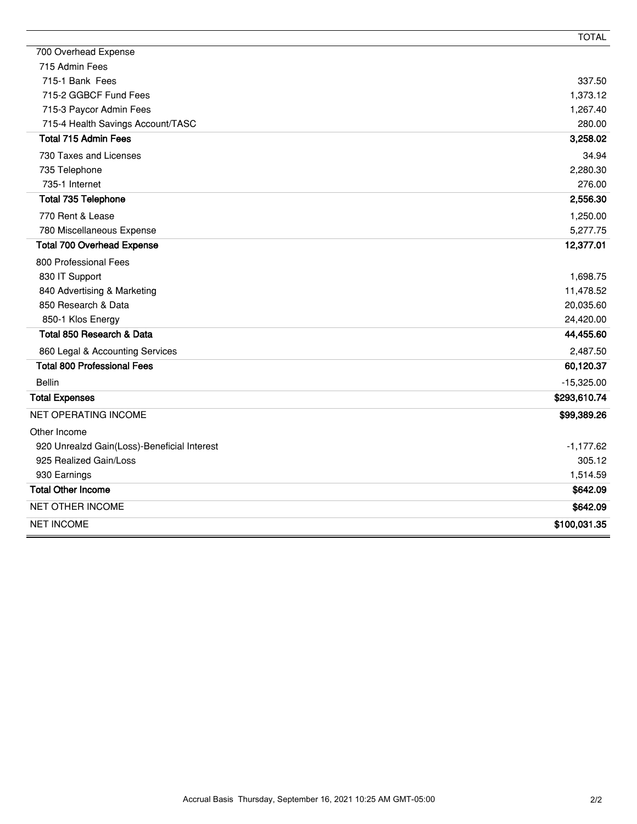|                                             | <b>TOTAL</b> |
|---------------------------------------------|--------------|
| 700 Overhead Expense                        |              |
| 715 Admin Fees                              |              |
| 715-1 Bank Fees                             | 337.50       |
| 715-2 GGBCF Fund Fees                       | 1,373.12     |
| 715-3 Paycor Admin Fees                     | 1,267.40     |
| 715-4 Health Savings Account/TASC           | 280.00       |
| <b>Total 715 Admin Fees</b>                 | 3,258.02     |
| 730 Taxes and Licenses                      | 34.94        |
| 735 Telephone                               | 2,280.30     |
| 735-1 Internet                              | 276.00       |
| <b>Total 735 Telephone</b>                  | 2,556.30     |
| 770 Rent & Lease                            | 1,250.00     |
| 780 Miscellaneous Expense                   | 5,277.75     |
| <b>Total 700 Overhead Expense</b>           | 12,377.01    |
| 800 Professional Fees                       |              |
| 830 IT Support                              | 1,698.75     |
| 840 Advertising & Marketing                 | 11,478.52    |
| 850 Research & Data                         | 20,035.60    |
| 850-1 Klos Energy                           | 24,420.00    |
| Total 850 Research & Data                   | 44,455.60    |
| 860 Legal & Accounting Services             | 2,487.50     |
| <b>Total 800 Professional Fees</b>          | 60,120.37    |
| <b>Bellin</b>                               | $-15,325.00$ |
| <b>Total Expenses</b>                       | \$293,610.74 |
| <b>NET OPERATING INCOME</b>                 | \$99,389.26  |
| Other Income                                |              |
| 920 Unrealzd Gain(Loss)-Beneficial Interest | $-1,177.62$  |
| 925 Realized Gain/Loss                      | 305.12       |
| 930 Earnings                                | 1,514.59     |
| <b>Total Other Income</b>                   | \$642.09     |
| <b>NET OTHER INCOME</b>                     | \$642.09     |
| <b>NET INCOME</b>                           | \$100,031.35 |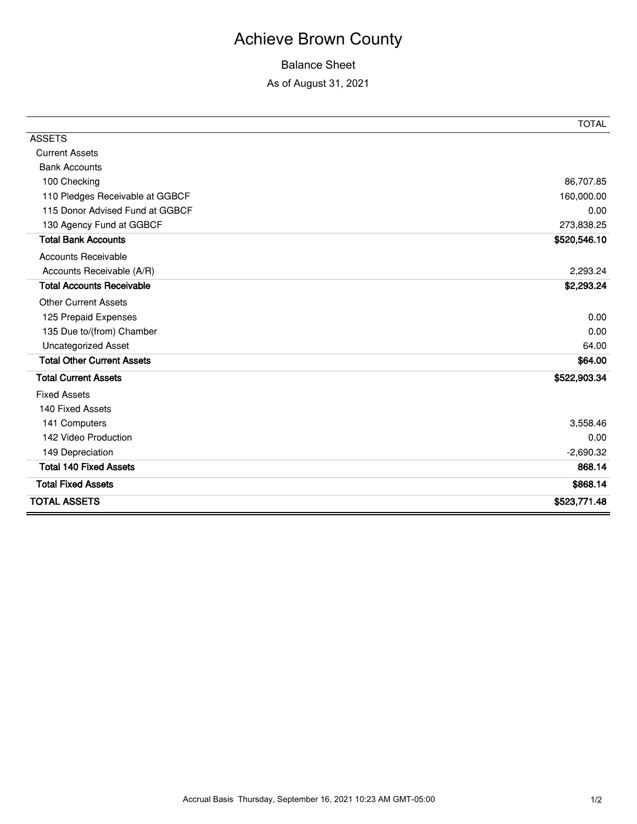# Achieve Brown County

### Balance Sheet

#### As of August 31, 2021

|                                   | <b>TOTAL</b> |
|-----------------------------------|--------------|
| <b>ASSETS</b>                     |              |
| <b>Current Assets</b>             |              |
| <b>Bank Accounts</b>              |              |
| 100 Checking                      | 86,707.85    |
| 110 Pledges Receivable at GGBCF   | 160,000.00   |
| 115 Donor Advised Fund at GGBCF   | 0.00         |
| 130 Agency Fund at GGBCF          | 273,838.25   |
| <b>Total Bank Accounts</b>        | \$520,546.10 |
| <b>Accounts Receivable</b>        |              |
| Accounts Receivable (A/R)         | 2,293.24     |
| <b>Total Accounts Receivable</b>  | \$2,293.24   |
| <b>Other Current Assets</b>       |              |
| 125 Prepaid Expenses              | 0.00         |
| 135 Due to/(from) Chamber         | 0.00         |
| <b>Uncategorized Asset</b>        | 64.00        |
| <b>Total Other Current Assets</b> | \$64.00      |
| <b>Total Current Assets</b>       | \$522,903.34 |
| <b>Fixed Assets</b>               |              |
| 140 Fixed Assets                  |              |
| 141 Computers                     | 3,558.46     |
| 142 Video Production              | 0.00         |
| 149 Depreciation                  | $-2,690.32$  |
| <b>Total 140 Fixed Assets</b>     | 868.14       |
| <b>Total Fixed Assets</b>         | \$868.14     |
| <b>TOTAL ASSETS</b>               | \$523,771.48 |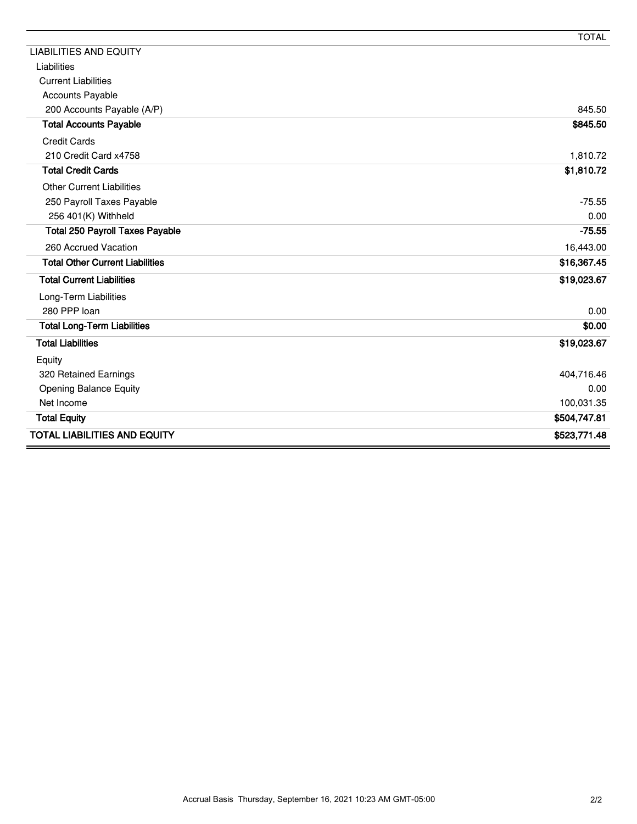|                                        | <b>TOTAL</b> |
|----------------------------------------|--------------|
| <b>LIABILITIES AND EQUITY</b>          |              |
| Liabilities                            |              |
| <b>Current Liabilities</b>             |              |
| <b>Accounts Payable</b>                |              |
| 200 Accounts Payable (A/P)             | 845.50       |
| <b>Total Accounts Payable</b>          | \$845.50     |
| <b>Credit Cards</b>                    |              |
| 210 Credit Card x4758                  | 1,810.72     |
| <b>Total Credit Cards</b>              | \$1,810.72   |
| <b>Other Current Liabilities</b>       |              |
| 250 Payroll Taxes Payable              | $-75.55$     |
| 256 401(K) Withheld                    | 0.00         |
| <b>Total 250 Payroll Taxes Payable</b> | $-75.55$     |
| 260 Accrued Vacation                   | 16,443.00    |
| <b>Total Other Current Liabilities</b> | \$16,367.45  |
| <b>Total Current Liabilities</b>       | \$19,023.67  |
| Long-Term Liabilities                  |              |
| 280 PPP loan                           | 0.00         |
| <b>Total Long-Term Liabilities</b>     | \$0.00       |
| <b>Total Liabilities</b>               | \$19,023.67  |
| Equity                                 |              |
| 320 Retained Earnings                  | 404,716.46   |
| <b>Opening Balance Equity</b>          | 0.00         |
| Net Income                             | 100,031.35   |
| <b>Total Equity</b>                    | \$504,747.81 |
| <b>TOTAL LIABILITIES AND EQUITY</b>    | \$523,771.48 |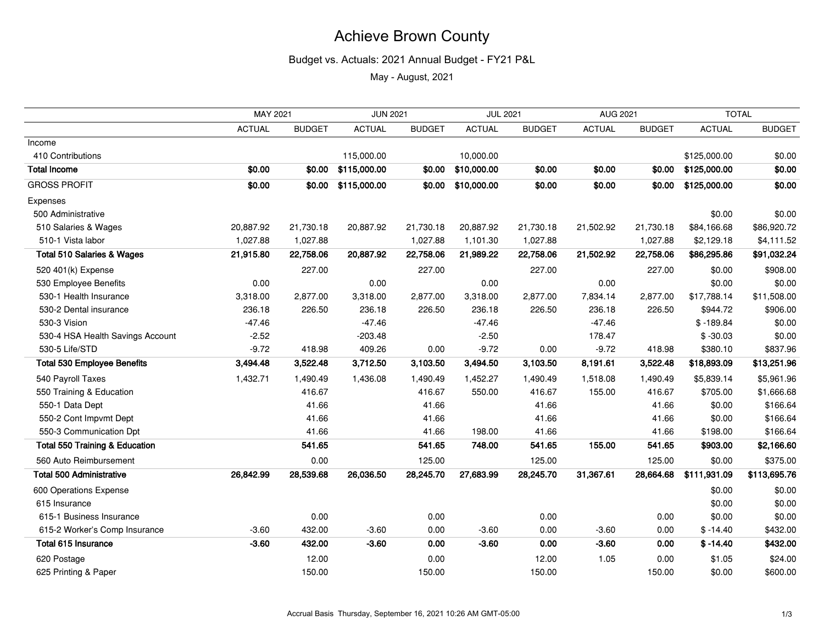# Achieve Brown County

#### Budget vs. Actuals: 2021 Annual Budget - FY21 P&L

May - August, 2021

|                                           | MAY 2021      |               | <b>JUN 2021</b> |               | <b>JUL 2021</b> |               | AUG 2021      |               | <b>TOTAL</b>       |               |  |  |  |  |
|-------------------------------------------|---------------|---------------|-----------------|---------------|-----------------|---------------|---------------|---------------|--------------------|---------------|--|--|--|--|
|                                           | <b>ACTUAL</b> | <b>BUDGET</b> | <b>ACTUAL</b>   | <b>BUDGET</b> | <b>ACTUAL</b>   | <b>BUDGET</b> | <b>ACTUAL</b> | <b>BUDGET</b> | <b>ACTUAL</b>      | <b>BUDGET</b> |  |  |  |  |
| Income                                    |               |               |                 |               |                 |               |               |               |                    |               |  |  |  |  |
| 410 Contributions                         |               |               | 115,000.00      |               | 10,000.00       |               |               |               | \$125,000.00       | \$0.00        |  |  |  |  |
| <b>Total Income</b>                       | \$0.00        | \$0.00        | \$115,000.00    | \$0.00        | \$10,000.00     | \$0.00        | \$0.00        | \$0.00        | \$125,000.00       | \$0.00        |  |  |  |  |
| <b>GROSS PROFIT</b>                       | \$0.00        | \$0.00        | \$115,000.00    | \$0.00        | \$10,000.00     | \$0.00        | \$0.00        | \$0.00        | \$125,000.00       | \$0.00        |  |  |  |  |
| Expenses                                  |               |               |                 |               |                 |               |               |               |                    |               |  |  |  |  |
| 500 Administrative                        |               |               |                 |               |                 |               |               |               | \$0.00             | \$0.00        |  |  |  |  |
| 510 Salaries & Wages                      | 20,887.92     | 21,730.18     | 20,887.92       | 21,730.18     | 20,887.92       | 21,730.18     | 21,502.92     | 21,730.18     | \$84,166.68        | \$86,920.72   |  |  |  |  |
| 510-1 Vista labor                         | 1,027.88      | 1,027.88      |                 | 1,027.88      | 1,101.30        | 1,027.88      |               | 1,027.88      | \$2,129.18         | \$4,111.52    |  |  |  |  |
| <b>Total 510 Salaries &amp; Wages</b>     | 21,915.80     | 22,758.06     | 20,887.92       | 22,758.06     | 21,989.22       | 22,758.06     | 21,502.92     | 22,758.06     | \$86,295.86        | \$91,032.24   |  |  |  |  |
| 520 401(k) Expense                        |               | 227.00        |                 | 227.00        |                 | 227.00        |               | 227.00        | \$0.00             | \$908.00      |  |  |  |  |
| 530 Employee Benefits                     | 0.00          |               | 0.00            |               | 0.00            |               | 0.00          |               | \$0.00             | \$0.00        |  |  |  |  |
| 530-1 Health Insurance                    | 3,318.00      | 2,877.00      | 3,318.00        | 2,877.00      | 3,318.00        | 2,877.00      | 7,834.14      | 2,877.00      | \$17,788.14        | \$11,508.00   |  |  |  |  |
| 530-2 Dental insurance                    | 236.18        | 226.50        | 236.18          | 226.50        | 236.18          | 226.50        | 236.18        | 226.50        | \$944.72           | \$906.00      |  |  |  |  |
| 530-3 Vision                              | $-47.46$      |               | $-47.46$        |               | $-47.46$        |               | $-47.46$      |               | $$ -189.84$        | \$0.00        |  |  |  |  |
| 530-4 HSA Health Savings Account          | $-2.52$       |               | $-203.48$       |               | $-2.50$         |               | 178.47        |               | $$ -30.03$         | \$0.00        |  |  |  |  |
| 530-5 Life/STD                            | $-9.72$       | 418.98        | 409.26          | 0.00          | $-9.72$         | 0.00          | $-9.72$       | 418.98        | \$380.10           | \$837.96      |  |  |  |  |
| <b>Total 530 Employee Benefits</b>        | 3,494.48      | 3,522.48      | 3,712.50        | 3,103.50      | 3,494.50        | 3,103.50      | 8,191.61      | 3,522.48      | \$18,893.09        | \$13,251.96   |  |  |  |  |
| 540 Payroll Taxes                         | 1,432.71      | 1,490.49      | 1,436.08        | 1,490.49      | 1,452.27        | 1,490.49      | 1,518.08      | 1,490.49      | \$5,839.14         | \$5,961.96    |  |  |  |  |
| 550 Training & Education                  |               | 416.67        |                 | 416.67        | 550.00          | 416.67        | 155.00        | 416.67        | \$705.00           | \$1,666.68    |  |  |  |  |
| 550-1 Data Dept                           |               | 41.66         |                 | 41.66         |                 | 41.66         |               | 41.66         | \$0.00             | \$166.64      |  |  |  |  |
| 550-2 Cont Impvmt Dept                    |               | 41.66         |                 | 41.66         |                 | 41.66         |               | 41.66         | \$0.00             | \$166.64      |  |  |  |  |
| 550-3 Communication Dpt                   |               | 41.66         |                 | 41.66         | 198.00          | 41.66         |               | 41.66         | \$198.00           | \$166.64      |  |  |  |  |
| <b>Total 550 Training &amp; Education</b> |               | 541.65        |                 | 541.65        | 748.00          | 541.65        | 155.00        | 541.65        | \$903.00           | \$2,166.60    |  |  |  |  |
| 560 Auto Reimbursement                    |               | 0.00          |                 | 125.00        |                 | 125.00        |               | 125.00        | \$0.00             | \$375.00      |  |  |  |  |
| <b>Total 500 Administrative</b>           | 26,842.99     | 28,539.68     | 26,036.50       | 28,245.70     | 27,683.99       | 28,245.70     | 31,367.61     | 28,664.68     | \$111,931.09       | \$113,695.76  |  |  |  |  |
| 600 Operations Expense                    |               |               |                 |               |                 |               |               |               | \$0.00             | \$0.00        |  |  |  |  |
| 615 Insurance                             |               |               |                 |               |                 |               |               |               | \$0.00             | \$0.00        |  |  |  |  |
| 615-1 Business Insurance                  |               | 0.00          |                 | 0.00          |                 | 0.00          |               | 0.00          | \$0.00             | \$0.00        |  |  |  |  |
| 615-2 Worker's Comp Insurance             | $-3.60$       | 432.00        | $-3.60$         | 0.00          | $-3.60$         | 0.00          | $-3.60$       | 0.00          | $$ -14.40$         | \$432.00      |  |  |  |  |
| Total 615 Insurance                       | $-3.60$       | 432.00        | $-3.60$         | 0.00          | $-3.60$         | 0.00          | $-3.60$       | 0.00          | $$ -14.40$         | \$432.00      |  |  |  |  |
| 620 Postage                               |               | 12.00         |                 | 0.00          |                 | 12.00         | 1.05          | 0.00          | \$1.05             | \$24.00       |  |  |  |  |
| 625 Printing & Paper                      |               | 150.00        |                 | 150.00        |                 | 150.00        |               | 150.00        | \$0.00<br>\$600.00 |               |  |  |  |  |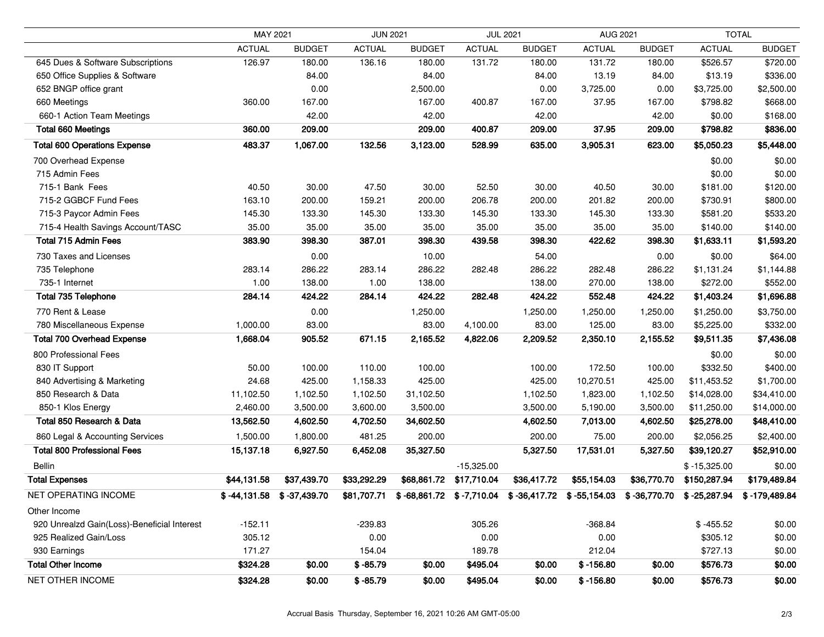|                                             | MAY 2021      |                             | <b>JUN 2021</b> |               |               | <b>JUL 2021</b>                                        | <b>AUG 2021</b> |               |                                   | <b>TOTAL</b>  |  |  |  |  |
|---------------------------------------------|---------------|-----------------------------|-----------------|---------------|---------------|--------------------------------------------------------|-----------------|---------------|-----------------------------------|---------------|--|--|--|--|
|                                             | <b>ACTUAL</b> | <b>BUDGET</b>               | <b>ACTUAL</b>   | <b>BUDGET</b> | <b>ACTUAL</b> | <b>BUDGET</b>                                          | <b>ACTUAL</b>   | <b>BUDGET</b> | <b>ACTUAL</b>                     | <b>BUDGET</b> |  |  |  |  |
| 645 Dues & Software Subscriptions           | 126.97        | 180.00                      | 136.16          | 180.00        | 131.72        | 180.00                                                 | 131.72          | 180.00        | \$526.57                          | \$720.00      |  |  |  |  |
| 650 Office Supplies & Software              |               | 84.00                       |                 | 84.00         |               | 84.00                                                  | 13.19           | 84.00         | \$13.19                           | \$336.00      |  |  |  |  |
| 652 BNGP office grant                       |               | 0.00                        |                 | 2,500.00      |               | 0.00                                                   | 3,725.00        | 0.00          | \$3,725.00                        | \$2,500.00    |  |  |  |  |
| 660 Meetings                                | 360.00        | 167.00                      |                 | 167.00        | 400.87        | 167.00                                                 | 37.95           | 167.00        | \$798.82                          | \$668.00      |  |  |  |  |
| 660-1 Action Team Meetings                  |               | 42.00                       |                 | 42.00         |               | 42.00                                                  |                 | 42.00         | \$0.00                            | \$168.00      |  |  |  |  |
| <b>Total 660 Meetings</b>                   | 360.00        | 209.00                      |                 | 209.00        | 400.87        | 209.00                                                 | 37.95           | 209.00        | \$798.82                          | \$836.00      |  |  |  |  |
| <b>Total 600 Operations Expense</b>         | 483.37        | 1,067.00                    | 132.56          | 3,123.00      | 528.99        | 635.00                                                 | 3,905.31        | 623.00        | \$5,050.23                        | \$5,448.00    |  |  |  |  |
| 700 Overhead Expense                        |               |                             |                 |               |               |                                                        |                 |               | \$0.00                            | \$0.00        |  |  |  |  |
| 715 Admin Fees                              |               |                             |                 |               |               |                                                        |                 |               | \$0.00                            | \$0.00        |  |  |  |  |
| 715-1 Bank Fees                             | 40.50         | 30.00                       | 47.50           | 30.00         | 52.50         | 30.00                                                  | 40.50           | 30.00         | \$181.00                          | \$120.00      |  |  |  |  |
| 715-2 GGBCF Fund Fees                       | 163.10        | 200.00                      | 159.21          | 200.00        | 206.78        | 200.00                                                 | 201.82          | 200.00        | \$730.91                          | \$800.00      |  |  |  |  |
| 715-3 Paycor Admin Fees                     | 145.30        | 133.30                      | 145.30          | 133.30        | 145.30        | 133.30                                                 | 145.30          | 133.30        | \$581.20                          | \$533.20      |  |  |  |  |
| 715-4 Health Savings Account/TASC           | 35.00         | 35.00                       | 35.00           | 35.00         | 35.00         | 35.00                                                  | 35.00           | 35.00         | \$140.00                          | \$140.00      |  |  |  |  |
| <b>Total 715 Admin Fees</b>                 | 383.90        | 398.30                      | 387.01          | 398.30        | 439.58        | 398.30                                                 | 422.62          | 398.30        | \$1,633.11                        | \$1,593.20    |  |  |  |  |
| 730 Taxes and Licenses                      |               | 0.00                        |                 | 10.00         |               | 54.00                                                  |                 | 0.00          | \$0.00                            | \$64.00       |  |  |  |  |
| 735 Telephone                               | 283.14        | 286.22                      | 283.14          | 286.22        | 282.48        | 286.22                                                 | 282.48          | 286.22        | \$1,131.24                        | \$1,144.88    |  |  |  |  |
| 735-1 Internet                              | 1.00          | 138.00                      | 1.00            | 138.00        |               | 138.00                                                 | 270.00          | 138.00        | \$272.00                          | \$552.00      |  |  |  |  |
| <b>Total 735 Telephone</b>                  | 284.14        | 424.22                      | 284.14          | 424.22        | 282.48        | 424.22                                                 | 552.48          | 424.22        | \$1,403.24                        | \$1,696.88    |  |  |  |  |
| 770 Rent & Lease                            |               | 0.00                        |                 | 1,250.00      |               | 1,250.00                                               | 1,250.00        | 1,250.00      | \$1,250.00                        | \$3,750.00    |  |  |  |  |
| 780 Miscellaneous Expense                   | 1,000.00      | 83.00                       |                 | 83.00         | 4,100.00      | 83.00                                                  | 125.00          | 83.00         | \$5,225.00                        | \$332.00      |  |  |  |  |
| <b>Total 700 Overhead Expense</b>           | 1,668.04      | 905.52                      | 671.15          | 2,165.52      | 4,822.06      | 2,209.52                                               | 2,350.10        | 2,155.52      | \$9,511.35                        | \$7,436.08    |  |  |  |  |
| 800 Professional Fees                       |               |                             |                 |               |               |                                                        |                 |               | \$0.00                            | \$0.00        |  |  |  |  |
| 830 IT Support                              | 50.00         | 100.00                      | 110.00          | 100.00        |               | 100.00                                                 | 172.50          | 100.00        | \$332.50                          | \$400.00      |  |  |  |  |
| 840 Advertising & Marketing                 | 24.68         | 425.00                      | 1,158.33        | 425.00        |               | 425.00                                                 | 10,270.51       | 425.00        | \$11,453.52                       | \$1,700.00    |  |  |  |  |
| 850 Research & Data                         | 11,102.50     | 1,102.50                    | 1,102.50        | 31,102.50     |               | 1,102.50                                               | 1,823.00        | 1,102.50      | \$14,028.00                       | \$34,410.00   |  |  |  |  |
| 850-1 Klos Energy                           | 2,460.00      | 3,500.00                    | 3,600.00        | 3,500.00      |               | 3,500.00                                               | 5,190.00        | 3,500.00      | \$11,250.00                       | \$14,000.00   |  |  |  |  |
| Total 850 Research & Data                   | 13,562.50     | 4,602.50                    | 4,702.50        | 34,602.50     |               | 4,602.50                                               | 7,013.00        | 4,602.50      | \$25,278.00                       | \$48,410.00   |  |  |  |  |
| 860 Legal & Accounting Services             | 1,500.00      | 1,800.00                    | 481.25          | 200.00        |               | 200.00                                                 | 75.00           | 200.00        | \$2,056.25                        | \$2,400.00    |  |  |  |  |
| <b>Total 800 Professional Fees</b>          | 15,137.18     | 6,927.50                    | 6,452.08        | 35,327.50     |               | 5,327.50                                               | 17,531.01       | 5,327.50      | \$39,120.27                       | \$52,910.00   |  |  |  |  |
| <b>Bellin</b>                               |               |                             |                 |               | $-15,325.00$  |                                                        |                 |               | $$ -15,325.00$                    | \$0.00        |  |  |  |  |
| <b>Total Expenses</b>                       | \$44,131.58   | \$37,439.70                 | \$33,292.29     | \$68,861.72   | \$17,710.04   | \$36,417.72                                            | \$55,154.03     | \$36,770.70   | \$150,287.94                      | \$179,489.84  |  |  |  |  |
| NET OPERATING INCOME                        |               | $$-44,131.58$ $$-37,439.70$ | \$81,707.71     |               |               | $$-68,861.72$ $$-7,710.04$ $$-36,417.72$ $$-55,154.03$ |                 |               | $$ -36,770.70 \quad $ -25,287.94$ | \$-179,489.84 |  |  |  |  |
| Other Income                                |               |                             |                 |               |               |                                                        |                 |               |                                   |               |  |  |  |  |
| 920 Unrealzd Gain(Loss)-Beneficial Interest | $-152.11$     |                             | $-239.83$       |               | 305.26        |                                                        | $-368.84$       |               | $$ -455.52$                       | \$0.00        |  |  |  |  |
| 925 Realized Gain/Loss                      | 305.12        |                             | 0.00            |               | 0.00          |                                                        | 0.00            |               | \$305.12                          | \$0.00        |  |  |  |  |
| 930 Earnings                                | 171.27        |                             | 154.04          |               | 189.78        |                                                        | 212.04          |               | \$727.13                          | \$0.00        |  |  |  |  |
| <b>Total Other Income</b>                   | \$324.28      | \$0.00                      | $$ -85.79$      | \$0.00        | \$495.04      | \$0.00                                                 | $$ -156.80$     | \$0.00        | \$576.73                          | \$0.00        |  |  |  |  |
| <b>NET OTHER INCOME</b>                     | \$324.28      | \$0.00                      | $$ -85.79$      | \$0.00        | \$495.04      | \$0.00                                                 | $$ -156.80$     | \$0.00        | \$576.73                          | \$0.00        |  |  |  |  |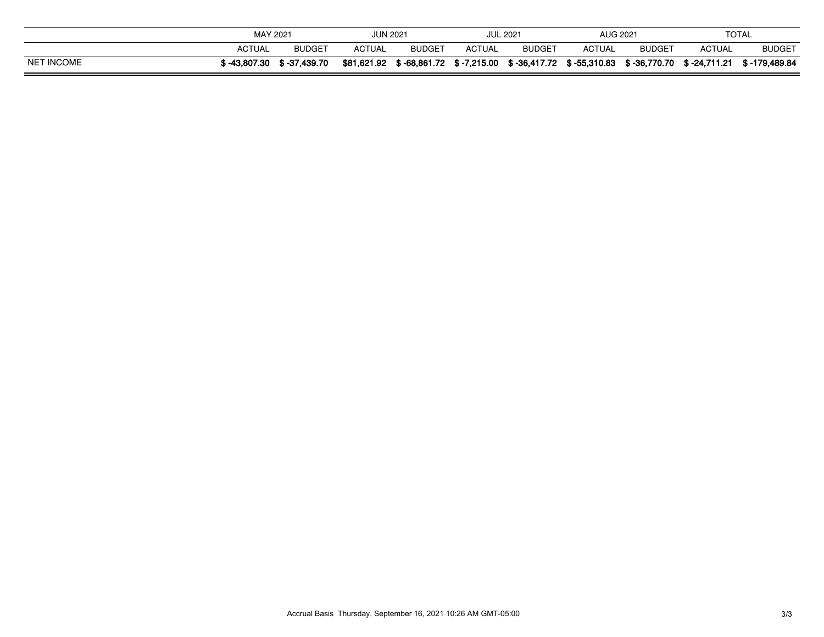|                   | MAY 2021      |               | <b>JUN 2021</b> |                          |        | <b>JUL 2021</b> | AUG 2021      |                           | <b>TOTAL</b> |               |  |  |
|-------------------|---------------|---------------|-----------------|--------------------------|--------|-----------------|---------------|---------------------------|--------------|---------------|--|--|
|                   | <b>ACTUAL</b> | <b>BUDGET</b> | <b>ACTUAL</b>   | <b>BUDGET</b>            | ACTUAL | <b>BUDGET</b>   | <b>ACTUAL</b> | <b>BUDGET</b>             | ACTUAL       | <b>BUDGET</b> |  |  |
| <b>NET INCOME</b> | \$-43.807.30  | \$ -37,439.70 | \$81,621.92     | \$-68,861.72 \$-7,215.00 |        | \$-36,417.72    | \$ -55,310.83 | \$-36,770.70 \$-24,711.21 |              | \$-179,489.84 |  |  |